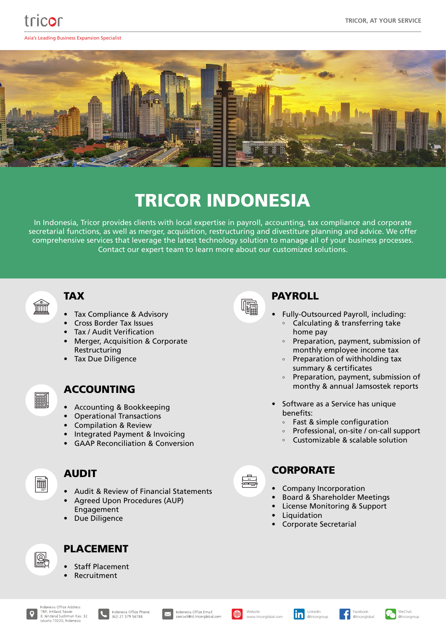Asia's Leading Business Expansion Specialist

tricor



# TRICOR INDONESIA

In Indonesia, Tricor provides clients with local expertise in payroll, accounting, tax compliance and corporate secretarial functions, as well as merger, acquisition, restructuring and divestiture planning and advice. We offer comprehensive services that leverage the latest technology solution to manage all of your business processes. Contact our expert team to learn more about our customized solutions.



### **TAX**

- Tax Compliance & Advisory
- Cross Border Tax Issues
- Tax / Audit Verification
- Merger, Acquisition & Corporate Restructuring
- Tax Due Diligence

### ACCOUNTING

- Accounting & Bookkeeping
- Operational Transactions
- Compilation & Review
- Integrated Payment & Invoicing
- GAAP Reconciliation & Conversion



 $\textcolor{red}{\mathbb{Q}}$ 

**THE SEARCH** 

### AUDIT

- Audit & Review of Financial Statements
- Agreed Upon Procedures (AUP) Engagement
- Due Diligence



Staff Placement



ia Office Address













### PAYROLL

- Fully-Outsourced Payroll, including:
- **◦** Calculating & transferring take home pay
- **◦** Preparation, payment, submission of monthly employee income tax
- **◦** Preparation of withholding tax summary & certificates
- **◦** Preparation, payment, submission of monthy & annual Jamsostek reports
- Software as a Service has unique benefits:
	- **◦** Fast & simple configuration
	- **◦**  Professional, on-site / on-call support
	- **◦** Customizable & scalable solution



- Company Incorporation
- Board & Shareholder Meetings
- License Monitoring & Support
- **Liquidation**
- Corporate Secretarial



Ë,